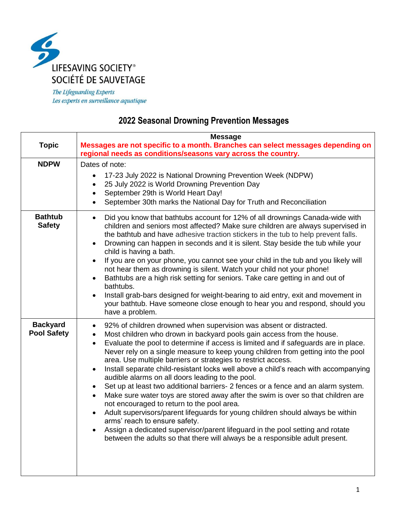

The Lifeguarding Experts Les experts en surveillance aquatique

## **2022 Seasonal Drowning Prevention Messages**

|                                       | <b>Message</b>                                                                                                                                                                                                                                                                                                                                                                                                                                                                                                                                                                                                                                                                                                                                                                                                                                                                                                                                                                                                                                                                                                                           |
|---------------------------------------|------------------------------------------------------------------------------------------------------------------------------------------------------------------------------------------------------------------------------------------------------------------------------------------------------------------------------------------------------------------------------------------------------------------------------------------------------------------------------------------------------------------------------------------------------------------------------------------------------------------------------------------------------------------------------------------------------------------------------------------------------------------------------------------------------------------------------------------------------------------------------------------------------------------------------------------------------------------------------------------------------------------------------------------------------------------------------------------------------------------------------------------|
| <b>Topic</b>                          | Messages are not specific to a month. Branches can select messages depending on                                                                                                                                                                                                                                                                                                                                                                                                                                                                                                                                                                                                                                                                                                                                                                                                                                                                                                                                                                                                                                                          |
|                                       | regional needs as conditions/seasons vary across the country.                                                                                                                                                                                                                                                                                                                                                                                                                                                                                                                                                                                                                                                                                                                                                                                                                                                                                                                                                                                                                                                                            |
| <b>NDPW</b>                           | Dates of note:                                                                                                                                                                                                                                                                                                                                                                                                                                                                                                                                                                                                                                                                                                                                                                                                                                                                                                                                                                                                                                                                                                                           |
|                                       | 17-23 July 2022 is National Drowning Prevention Week (NDPW)<br>$\bullet$<br>25 July 2022 is World Drowning Prevention Day<br>$\bullet$<br>September 29th is World Heart Day!<br>$\bullet$<br>September 30th marks the National Day for Truth and Reconciliation<br>$\bullet$                                                                                                                                                                                                                                                                                                                                                                                                                                                                                                                                                                                                                                                                                                                                                                                                                                                             |
| <b>Bathtub</b><br><b>Safety</b>       | Did you know that bathtubs account for 12% of all drownings Canada-wide with<br>$\bullet$<br>children and seniors most affected? Make sure children are always supervised in<br>the bathtub and have adhesive traction stickers in the tub to help prevent falls.<br>Drowning can happen in seconds and it is silent. Stay beside the tub while your<br>$\bullet$<br>child is having a bath.<br>If you are on your phone, you cannot see your child in the tub and you likely will<br>$\bullet$<br>not hear them as drowning is silent. Watch your child not your phone!<br>Bathtubs are a high risk setting for seniors. Take care getting in and out of<br>$\bullet$<br>bathtubs.<br>Install grab-bars designed for weight-bearing to aid entry, exit and movement in<br>$\bullet$<br>your bathtub. Have someone close enough to hear you and respond, should you<br>have a problem.                                                                                                                                                                                                                                                   |
| <b>Backyard</b><br><b>Pool Safety</b> | 92% of children drowned when supervision was absent or distracted.<br>$\bullet$<br>Most children who drown in backyard pools gain access from the house.<br>$\bullet$<br>Evaluate the pool to determine if access is limited and if safeguards are in place.<br>$\bullet$<br>Never rely on a single measure to keep young children from getting into the pool<br>area. Use multiple barriers or strategies to restrict access.<br>Install separate child-resistant locks well above a child's reach with accompanying<br>$\bullet$<br>audible alarms on all doors leading to the pool.<br>Set up at least two additional barriers- 2 fences or a fence and an alarm system.<br>$\bullet$<br>Make sure water toys are stored away after the swim is over so that children are<br>$\bullet$<br>not encouraged to return to the pool area.<br>Adult supervisors/parent lifeguards for young children should always be within<br>$\bullet$<br>arms' reach to ensure safety.<br>Assign a dedicated supervisor/parent lifeguard in the pool setting and rotate<br>between the adults so that there will always be a responsible adult present. |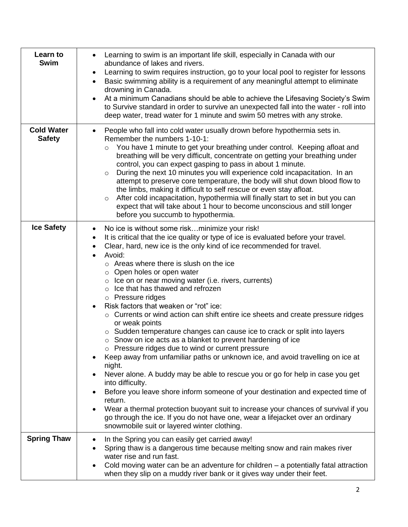| Learn to<br><b>Swim</b>            | Learning to swim is an important life skill, especially in Canada with our<br>abundance of lakes and rivers.<br>Learning to swim requires instruction, go to your local pool to register for lessons<br>$\bullet$<br>Basic swimming ability is a requirement of any meaningful attempt to eliminate<br>$\bullet$<br>drowning in Canada.<br>At a minimum Canadians should be able to achieve the Lifesaving Society's Swim<br>to Survive standard in order to survive an unexpected fall into the water - roll into<br>deep water, tread water for 1 minute and swim 50 metres with any stroke.                                                                                                                                                                                                                                                                                                                                                                                                                                                                                                                                                                                                                                                                                                                                                    |
|------------------------------------|---------------------------------------------------------------------------------------------------------------------------------------------------------------------------------------------------------------------------------------------------------------------------------------------------------------------------------------------------------------------------------------------------------------------------------------------------------------------------------------------------------------------------------------------------------------------------------------------------------------------------------------------------------------------------------------------------------------------------------------------------------------------------------------------------------------------------------------------------------------------------------------------------------------------------------------------------------------------------------------------------------------------------------------------------------------------------------------------------------------------------------------------------------------------------------------------------------------------------------------------------------------------------------------------------------------------------------------------------|
| <b>Cold Water</b><br><b>Safety</b> | People who fall into cold water usually drown before hypothermia sets in.<br>$\bullet$<br>Remember the numbers 1-10-1:<br>You have 1 minute to get your breathing under control. Keeping afloat and<br>$\circ$<br>breathing will be very difficult, concentrate on getting your breathing under<br>control, you can expect gasping to pass in about 1 minute.<br>During the next 10 minutes you will experience cold incapacitation. In an<br>$\circ$<br>attempt to preserve core temperature, the body will shut down blood flow to<br>the limbs, making it difficult to self rescue or even stay afloat.<br>After cold incapacitation, hypothermia will finally start to set in but you can<br>$\circ$<br>expect that will take about 1 hour to become unconscious and still longer<br>before you succumb to hypothermia.                                                                                                                                                                                                                                                                                                                                                                                                                                                                                                                       |
| <b>Ice Safety</b>                  | No ice is without some riskminimize your risk!<br>$\bullet$<br>It is critical that the ice quality or type of ice is evaluated before your travel.<br>$\bullet$<br>Clear, hard, new ice is the only kind of ice recommended for travel.<br>Avoid:<br>$\circ$ Areas where there is slush on the ice<br>o Open holes or open water<br>$\circ$ Ice on or near moving water (i.e. rivers, currents)<br>$\circ$ Ice that has thawed and refrozen<br>o Pressure ridges<br>Risk factors that weaken or "rot" ice:<br>$\circ$ Currents or wind action can shift entire ice sheets and create pressure ridges<br>or weak points<br>○ Sudden temperature changes can cause ice to crack or split into layers<br>$\circ$ Snow on ice acts as a blanket to prevent hardening of ice<br>o Pressure ridges due to wind or current pressure<br>Keep away from unfamiliar paths or unknown ice, and avoid travelling on ice at<br>night.<br>Never alone. A buddy may be able to rescue you or go for help in case you get<br>into difficulty.<br>Before you leave shore inform someone of your destination and expected time of<br>return.<br>Wear a thermal protection buoyant suit to increase your chances of survival if you<br>go through the ice. If you do not have one, wear a lifejacket over an ordinary<br>snowmobile suit or layered winter clothing. |
| <b>Spring Thaw</b>                 | In the Spring you can easily get carried away!<br>Spring thaw is a dangerous time because melting snow and rain makes river<br>water rise and run fast.<br>Cold moving water can be an adventure for children $-$ a potentially fatal attraction<br>when they slip on a muddy river bank or it gives way under their feet.                                                                                                                                                                                                                                                                                                                                                                                                                                                                                                                                                                                                                                                                                                                                                                                                                                                                                                                                                                                                                        |